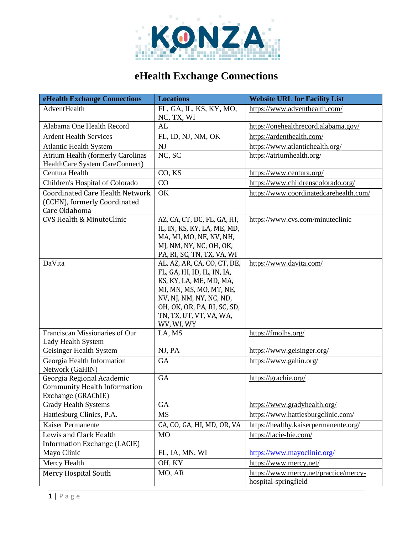

## **eHealth Exchange Connections**

| eHealth Exchange Connections                                                            | <b>Locations</b>                                                                                                                                                                                                    | <b>Website URL for Facility List</b>                          |
|-----------------------------------------------------------------------------------------|---------------------------------------------------------------------------------------------------------------------------------------------------------------------------------------------------------------------|---------------------------------------------------------------|
| AdventHealth                                                                            | FL, GA, IL, KS, KY, MO,<br>NC, TX, WI                                                                                                                                                                               | https://www.adventhealth.com/                                 |
| Alabama One Health Record                                                               | AL                                                                                                                                                                                                                  | https://onehealthrecord.alabama.gov/                          |
| <b>Ardent Health Services</b>                                                           | FL, ID, NJ, NM, OK                                                                                                                                                                                                  | https://ardenthealth.com/                                     |
| <b>Atlantic Health System</b>                                                           | NJ                                                                                                                                                                                                                  | https://www.atlantichealth.org/                               |
| <b>Atrium Health (formerly Carolinas</b>                                                | NC, SC                                                                                                                                                                                                              | https://atriumhealth.org/                                     |
| HealthCare System CareConnect)                                                          |                                                                                                                                                                                                                     |                                                               |
| Centura Health                                                                          | CO, KS                                                                                                                                                                                                              | https://www.centura.org/                                      |
| Children's Hospital of Colorado                                                         | CO                                                                                                                                                                                                                  | https://www.childrenscolorado.org/                            |
| <b>Coordinated Care Health Network</b><br>(CCHN), formerly Coordinated<br>Care Oklahoma | OK                                                                                                                                                                                                                  | https://www.coordinatedcarehealth.com/                        |
| <b>CVS Health &amp; MinuteClinic</b>                                                    | AZ, CA, CT, DC, FL, GA, HI,<br>IL, IN, KS, KY, LA, ME, MD,<br>MA, MI, MO, NE, NV, NH,<br>MJ, NM, NY, NC, OH, OK,<br>PA, RI, SC, TN, TX, VA, WI                                                                      | https://www.cvs.com/minuteclinic                              |
| DaVita                                                                                  | AL, AZ, AR, CA, CO, CT, DE,<br>FL, GA, HI, ID, IL, IN, IA,<br>KS, KY, LA, ME, MD, MA,<br>MI, MN, MS, MO, MT, NE,<br>NV, NJ, NM, NY, NC, ND,<br>OH, OK, OR, PA, RI, SC, SD,<br>TN, TX, UT, VT, VA, WA,<br>WV, WI, WY | https://www.davita.com/                                       |
| Franciscan Missionaries of Our<br>Lady Health System                                    | LA, MS                                                                                                                                                                                                              | https://fmolhs.org/                                           |
| Geisinger Health System                                                                 | NJ, PA                                                                                                                                                                                                              | https://www.geisinger.org/                                    |
| Georgia Health Information<br>Network (GaHIN)                                           | GA                                                                                                                                                                                                                  | https://www.gahin.org/                                        |
| Georgia Regional Academic<br><b>Community Health Information</b><br>Exchange (GRAChIE)  | <b>GA</b>                                                                                                                                                                                                           | https://grachie.org/                                          |
| <b>Grady Health Systems</b>                                                             | GA                                                                                                                                                                                                                  | https://www.gradyhealth.org/                                  |
| Hattiesburg Clinics, P.A.                                                               | MS                                                                                                                                                                                                                  | https://www.hattiesburgclinic.com/                            |
| Kaiser Permanente                                                                       | CA, CO, GA, HI, MD, OR, VA                                                                                                                                                                                          | https://healthy.kaiserpermanente.org/                         |
| Lewis and Clark Health                                                                  | M <sub>O</sub>                                                                                                                                                                                                      | https://lacie-hie.com/                                        |
| Information Exchange (LACIE)                                                            |                                                                                                                                                                                                                     |                                                               |
| Mayo Clinic                                                                             | FL, IA, MN, WI                                                                                                                                                                                                      | https://www.mayoclinic.org/                                   |
| Mercy Health                                                                            | OH, KY                                                                                                                                                                                                              | https://www.mercy.net/                                        |
| Mercy Hospital South                                                                    | MO, AR                                                                                                                                                                                                              | https://www.mercy.net/practice/mercy-<br>hospital-springfield |